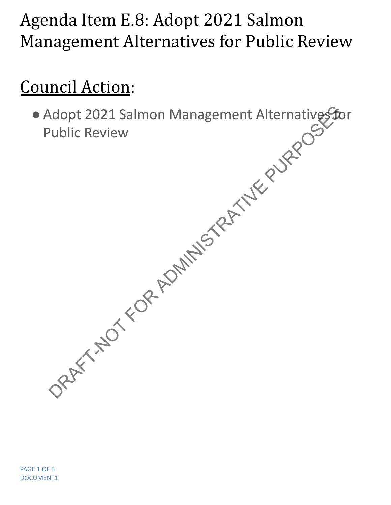## Agenda Item E.8: Adopt 2021 Salmon Management Alternatives for Public Review

## Council Action:

● Adopt 2021 Salmon Management Alternatives for Public Review Ndopt 2021 Salmon Management Alternatives to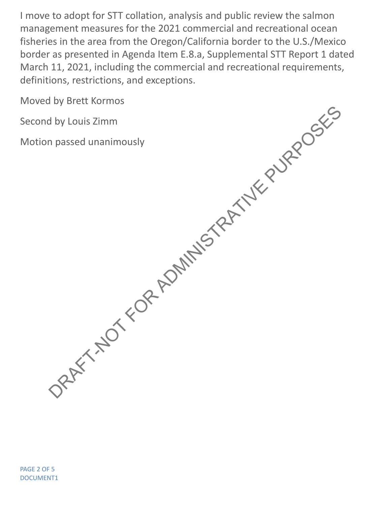I move to adopt for STT collation, analysis and public review the salmon management measures for the 2021 commercial and recreational ocean fisheries in the area from the Oregon/California border to the U.S./Mexico border as presented in Agenda Item E.8.a, Supplemental STT Report 1 dated March 11, 2021, including the commercial and recreational requirements, definitions, restrictions, and exceptions.

Moved by Brett Kormos

Second by Louis Zimm

Motion passed unanimously DRAFT-NOT FOR ADMINISTRATIVE PURPOSES

PAGE 2 OF 5 DOCUMENT1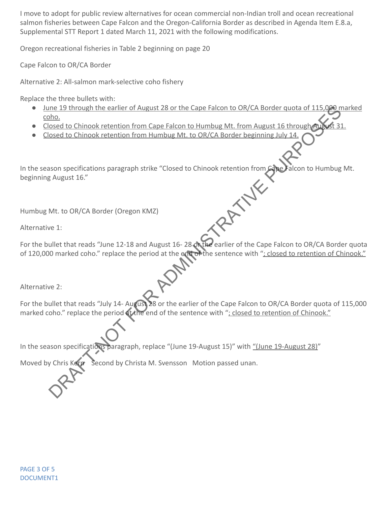I move to adopt for public review alternatives for ocean commercial non-Indian troll and ocean recreational salmon fisheries between Cape Falcon and the Oregon-California Border as described in Agenda Item E.8.a, Supplemental STT Report 1 dated March 11, 2021 with the following modifications.

Oregon recreational fisheries in Table 2 beginning on page 20

Cape Falcon to OR/CA Border

Alternative 2: All-salmon mark-selective coho fishery

Replace the three bullets with:

- June 19 through the earlier of August 28 or the Cape Falcon to OR/CA Border quota of 115,000 marked coho.
- Closed to Chinook retention from Cape Falcon to Humbug Mt. from August 16 through
- Closed to Chinook retention from Humbug Mt. to OR/CA Border beginning July 14.

In the season specifications paragraph strike "Closed to Chinook retention from Cape Falcon to Humbug Mt.<br>
Beginning August 16."<br>
Humbug Mt. to OR/CA Border (Oregon KMZ)<br>
Alternative 1 beginning August 16." The Capacity of August 28 or the Capacity of August 28 or the Capacity of Also Conducts of 115.000 m<br>Dream to the Conduct Centeration from Capacity and Dream to Humburg Mt. from August 16 through Maximum<br>States to Chinook

Humbug Mt. to OR/CA Border (Oregon KMZ)

Alternative 1:

For the bullet that reads "June 12-18 and August 16-28 on the earlier of the Cape Falcon to OR/CA Border quota of 120,000 marked coho." replace the period at the end of the sentence with "; closed to retention of Chinook."

Alternative 2:

For the bullet that reads "July 14- August 28 or the earlier of the Cape Falcon to OR/CA Border quota of 115,000 marked coho." replace the period at the end of the sentence with "; closed to retention of Chinook."

In the season specifications paragraph, replace "(June 19-August 15)" with "(June 19-August 28)"

Moved by Chris Kern Second by Christa M. Svensson Motion passed unan.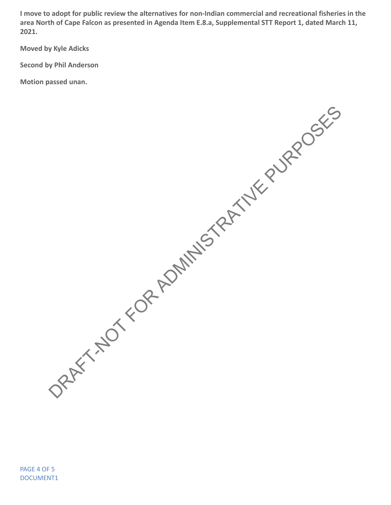**I move to adopt for public review the alternatives for non-Indian commercial and recreational fisheries in the area North of Cape Falcon as presented in Agenda Item E.8.a, Supplemental STT Report 1, dated March 11, 2021.**

**Moved by Kyle Adicks**

**Second by Phil Anderson**

**Motion passed unan.**

DRAFT-NOT FOR ADMINISTRATIVE PURPOSES